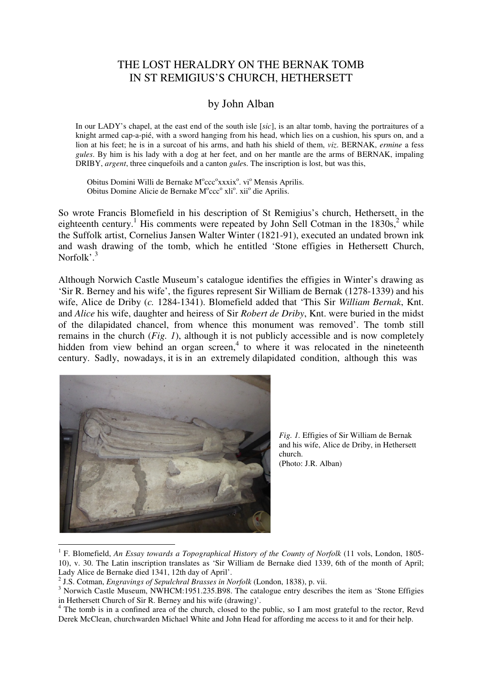## THE LOST HERALDRY ON THE BERNAK TOMB IN ST REMIGIUS'S CHURCH, HETHERSETT

## by John Alban

In our LADY's chapel, at the east end of the south isle [*sic*], is an altar tomb, having the portraitures of a knight armed cap-a-pié, with a sword hanging from his head, which lies on a cushion, his spurs on, and a lion at his feet; he is in a surcoat of his arms, and hath his shield of them, *viz*. BERNAK, *ermine* a fess *gules*. By him is his lady with a dog at her feet, and on her mantle are the arms of BERNAK, impaling DRIBY, *argent*, three cinquefoils and a canton *gule*s. The inscription is lost, but was this,

Obitus Domini Willi de Bernake M°ccc°xxxix°. vi° Mensis Aprilis. Obitus Domine Alicie de Bernake M°ccc° xli°. xii° die Aprilis.

So wrote Francis Blomefield in his description of St Remigius's church, Hethersett, in the eighteenth century.<sup>1</sup> His comments were repeated by John Sell Cotman in the  $1830s$ ,  $2$  while the Suffolk artist, Cornelius Jansen Walter Winter (1821-91), executed an undated brown ink and wash drawing of the tomb, which he entitled 'Stone effigies in Hethersett Church, Norfolk<sup>'3</sup>

Although Norwich Castle Museum's catalogue identifies the effigies in Winter's drawing as 'Sir R. Berney and his wife', the figures represent Sir William de Bernak (1278-1339) and his wife, Alice de Driby (*c.* 1284-1341). Blomefield added that 'This Sir *William Bernak*, Knt. and *Alice* his wife, daughter and heiress of Sir *Robert de Driby*, Knt. were buried in the midst of the dilapidated chancel, from whence this monument was removed'. The tomb still remains in the church (*Fig. 1*), although it is not publicly accessible and is now completely hidden from view behind an organ screen,<sup>4</sup> to where it was relocated in the nineteenth century. Sadly, nowadays, it is in an extremely dilapidated condition, although this was



*Fig. 1.* Effigies of Sir William de Bernak and his wife, Alice de Driby, in Hethersett church. (Photo: J.R. Alban)

<sup>1</sup> F. Blomefield, *An Essay towards a Topographical History of the County of Norfolk* (11 vols, London, 1805- 10), v. 30. The Latin inscription translates as 'Sir William de Bernake died 1339, 6th of the month of April; Lady Alice de Bernake died 1341, 12th day of April'.

<sup>2</sup> J.S. Cotman, *Engravings of Sepulchral Brasses in Norfolk* (London, 1838), p. vii.

<sup>&</sup>lt;sup>3</sup> Norwich Castle Museum, NWHCM:1951.235.B98. The catalogue entry describes the item as 'Stone Effigies in Hethersett Church of Sir R. Berney and his wife (drawing)'.

<sup>&</sup>lt;sup>4</sup> The tomb is in a confined area of the church, closed to the public, so I am most grateful to the rector, Revd Derek McClean, churchwarden Michael White and John Head for affording me access to it and for their help.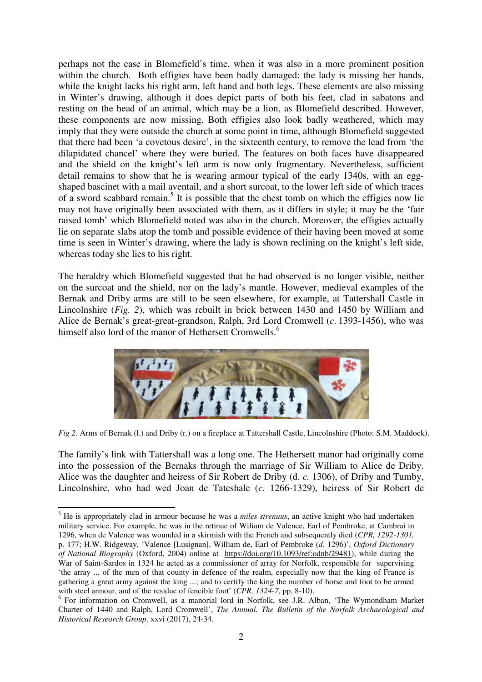perhaps not the case in Blomefield's time, when it was also in a more prominent position within the church. Both effigies have been badly damaged: the lady is missing her hands, while the knight lacks his right arm, left hand and both legs. These elements are also missing in Winter's drawing, although it does depict parts of both his feet, clad in sabatons and resting on the head of an animal, which may be a lion, as Blomefield described. However, these components are now missing. Both effigies also look badly weathered, which may imply that they were outside the church at some point in time, although Blomefield suggested that there had been 'a covetous desire', in the sixteenth century, to remove the lead from 'the dilapidated chancel' where they were buried. The features on both faces have disappeared and the shield on the knight's left arm is now only fragmentary. Nevertheless, sufficient detail remains to show that he is wearing armour typical of the early 1340s, with an eggshaped bascinet with a mail aventail, and a short surcoat, to the lower left side of which traces of a sword scabbard remain.<sup>5</sup> It is possible that the chest tomb on which the effigies now lie may not have originally been associated with them, as it differs in style; it may be the 'fair raised tomb' which Blomefield noted was also in the church. Moreover, the effigies actually lie on separate slabs atop the tomb and possible evidence of their having been moved at some time is seen in Winter's drawing, where the lady is shown reclining on the knight's left side, whereas today she lies to his right.

The heraldry which Blomefield suggested that he had observed is no longer visible, neither on the surcoat and the shield, nor on the lady's mantle. However, medieval examples of the Bernak and Driby arms are still to be seen elsewhere, for example, at Tattershall Castle in Lincolnshire (*Fig. 2*), which was rebuilt in brick between 1430 and 1450 by William and Alice de Bernak's great-great-grandson, Ralph, 3rd Lord Cromwell (*c*. 1393-1456), who was himself also lord of the manor of Hethersett Cromwells.<sup>6</sup>



*Fig 2.* Arms of Bernak (l.) and Driby (r.) on a fireplace at Tattershall Castle, Lincolnshire (Photo: S.M. Maddock).

The family's link with Tattershall was a long one. The Hethersett manor had originally come into the possession of the Bernaks through the marriage of Sir William to Alice de Driby. Alice was the daughter and heiress of Sir Robert de Driby (d. *c.* 1306), of Driby and Tumby, Lincolnshire, who had wed Joan de Tateshale (*c.* 1266-1329), heiress of Sir Robert de

 $\overline{a}$ 

<sup>5</sup> He is appropriately clad in armour because he was a *miles strenuus*, an active knight who had undertaken military service. For example, he was in the retinue of Wiliam de Valence, Earl of Pembroke, at Cambrai in 1296, when de Valence was wounded in a skirmish with the French and subsequently died (*CPR, 1292-1301,*  p. 177; H.W. Ridgeway, 'Valence [Lusignan], William de, Earl of Pembroke (*d.* 1296)', *Oxford Dictionary of National Biography* (Oxford, 2004) online at https://doi.org/10.1093/ref:odnb/29481), while during the War of Saint-Sardos in 1324 he acted as a commissioner of array for Norfolk, responsible for supervising 'the array ... of the men of that county in defence of the realm, especially now that the king of France is gathering a great army against the king ...; and to certify the king the number of horse and foot to be armed with steel armour, and of the residue of fencible foot' (*CPR, 1324-7*, pp. 8-10).

<sup>&</sup>lt;sup>6</sup> For information on Cromwell, as a manorial lord in Norfolk, see J.R. Alban, 'The Wymondham Market Charter of 1440 and Ralph, Lord Cromwell', *The Annual. The Bulletin of the Norfolk Archaeological and Historical Research Group,* xxvi (2017), 24-34.